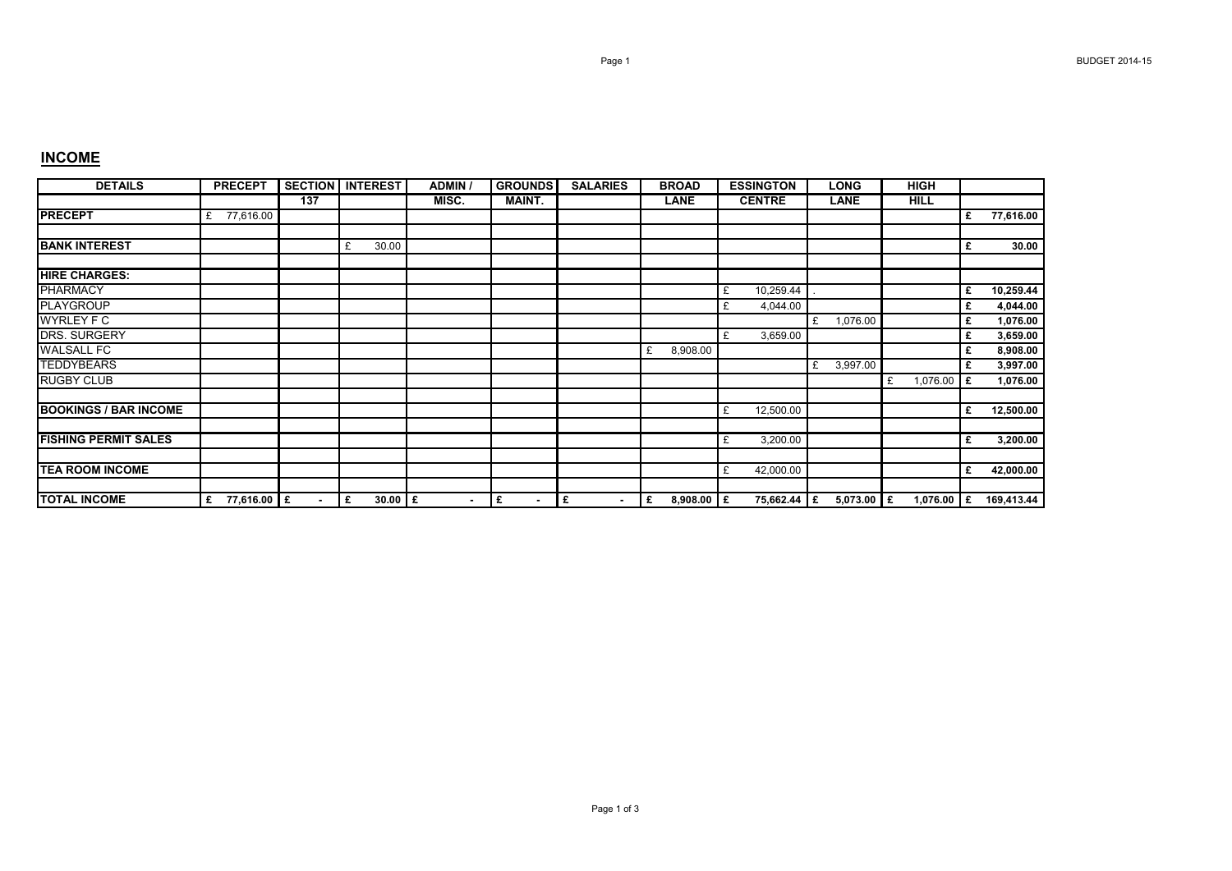## **INCOME**

| <b>DETAILS</b>               | <b>PRECEPT</b>   |                | <b>SECTION INTEREST</b> | <b>ADMIN</b> | <b>GROUNDS</b>      | <b>SALARIES</b>     | <b>BROAD</b>      | <b>ESSINGTON</b> | <b>LONG</b>   | <b>HIGH</b>       |   |            |
|------------------------------|------------------|----------------|-------------------------|--------------|---------------------|---------------------|-------------------|------------------|---------------|-------------------|---|------------|
|                              |                  | 137            |                         | MISC.        | <b>MAINT.</b>       |                     | LANE              | <b>CENTRE</b>    | <b>LANE</b>   | <b>HILL</b>       |   |            |
| <b>PRECEPT</b>               | 77,616.00<br>£   |                |                         |              |                     |                     |                   |                  |               |                   | £ | 77,616.00  |
|                              |                  |                |                         |              |                     |                     |                   |                  |               |                   |   |            |
| <b>BANK INTEREST</b>         |                  |                | 30.00<br>£              |              |                     |                     |                   |                  |               |                   | £ | 30.00      |
| <b>HIRE CHARGES:</b>         |                  |                |                         |              |                     |                     |                   |                  |               |                   |   |            |
|                              |                  |                |                         |              |                     |                     |                   |                  |               |                   |   |            |
| <b>PHARMACY</b>              |                  |                |                         |              |                     |                     |                   | 10,259.44<br>£   |               |                   | £ | 10,259.44  |
| <b>PLAYGROUP</b>             |                  |                |                         |              |                     |                     |                   | 4,044.00<br>£    |               |                   | £ | 4,044.00   |
| <b>WYRLEY F C</b>            |                  |                |                         |              |                     |                     |                   |                  | 1,076.00<br>£ |                   | £ | 1,076.00   |
| <b>DRS. SURGERY</b>          |                  |                |                         |              |                     |                     |                   | 3,659.00<br>£    |               |                   | £ | 3,659.00   |
| <b>WALSALL FC</b>            |                  |                |                         |              |                     |                     | 8,908.00<br>£     |                  |               |                   | £ | 8,908.00   |
| <b>TEDDYBEARS</b>            |                  |                |                         |              |                     |                     |                   |                  | 3,997.00<br>£ |                   | £ | 3,997.00   |
| <b>RUGBY CLUB</b>            |                  |                |                         |              |                     |                     |                   |                  |               | 1,076.00 $E$<br>£ |   | 1,076.00   |
|                              |                  |                |                         |              |                     |                     |                   |                  |               |                   |   |            |
| <b>BOOKINGS / BAR INCOME</b> |                  |                |                         |              |                     |                     |                   | 12,500.00<br>£   |               |                   | £ | 12,500.00  |
|                              |                  |                |                         |              |                     |                     |                   |                  |               |                   |   |            |
| <b>FISHING PERMIT SALES</b>  |                  |                |                         |              |                     |                     |                   | 3,200.00<br>£    |               |                   | £ | 3,200.00   |
|                              |                  |                |                         |              |                     |                     |                   |                  |               |                   |   |            |
| <b>TEA ROOM INCOME</b>       |                  |                |                         |              |                     |                     |                   | 42,000.00<br>£   |               |                   | £ | 42,000.00  |
|                              |                  |                |                         |              |                     |                     |                   |                  |               |                   |   |            |
| <b>TOTAL INCOME</b>          | 77,616.00 E<br>£ | $\blacksquare$ | $30.00$ $E$<br>£        | $\sim$       | £<br>$\blacksquare$ | £<br>$\blacksquare$ | $8,908.00$ £<br>£ | 75,662.44 E      | $5,073.00$ £  | 1,076.00 $E$      |   | 169,413.44 |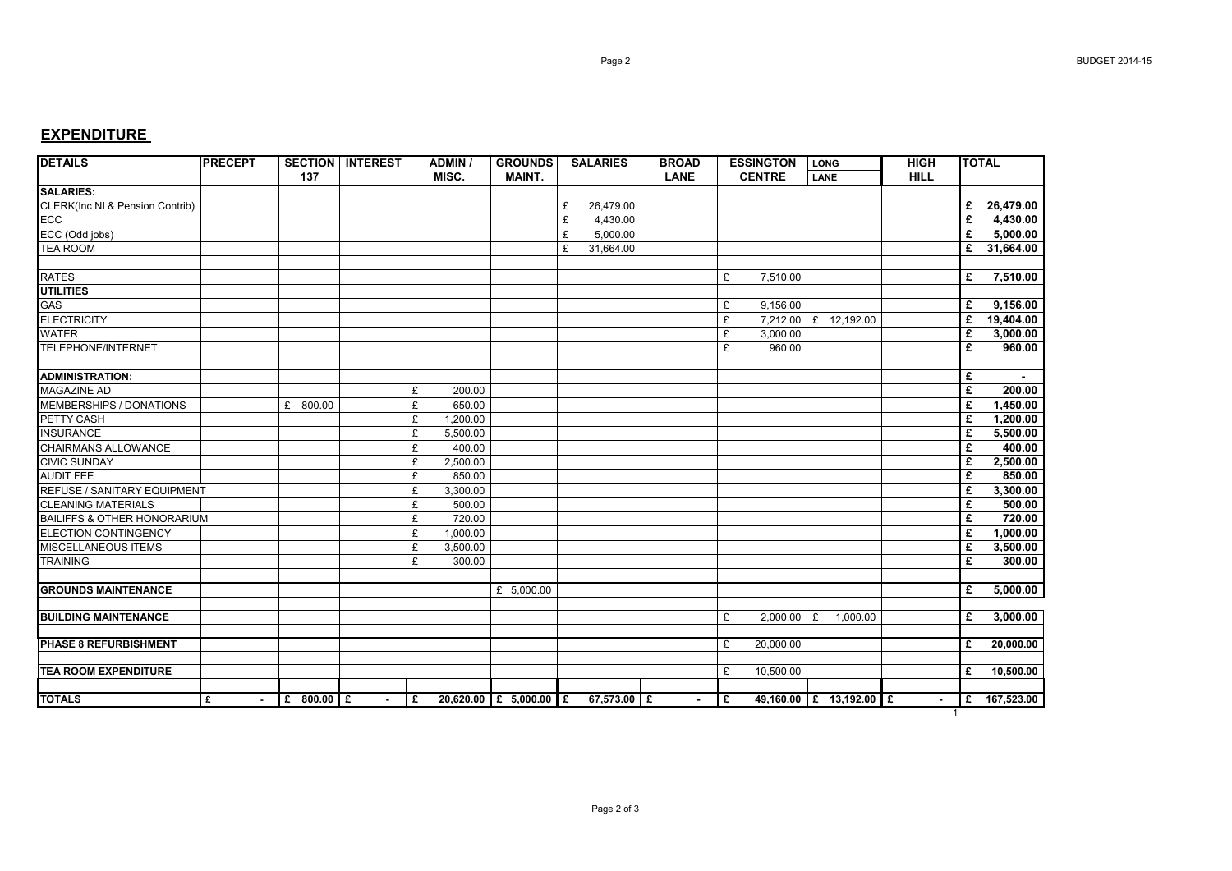## **EXPENDITURE**

| <b>DETAILS</b>                             | <b>PRECEPT</b> |                 | <b>SECTION   INTEREST</b> | <b>ADMIN /</b> | <b>GROUNDS</b>         | <b>SALARIES</b> | <b>BROAD</b> | <b>ESSINGTON</b>  | <b>LONG</b>             | <b>HIGH</b> | <b>TOTAL</b>    |
|--------------------------------------------|----------------|-----------------|---------------------------|----------------|------------------------|-----------------|--------------|-------------------|-------------------------|-------------|-----------------|
|                                            |                | 137             |                           | MISC.          | <b>MAINT.</b>          |                 | <b>LANE</b>  | <b>CENTRE</b>     | LANE                    | <b>HILL</b> |                 |
| <b>SALARIES:</b>                           |                |                 |                           |                |                        |                 |              |                   |                         |             |                 |
| <b>CLERK(Inc NI &amp; Pension Contrib)</b> |                |                 |                           |                |                        | £<br>26,479.00  |              |                   |                         |             | 26,479.00<br>£  |
| ECC                                        |                |                 |                           |                |                        | £<br>4,430.00   |              |                   |                         |             | £<br>4,430.00   |
| ECC (Odd jobs)                             |                |                 |                           |                |                        | £<br>5,000.00   |              |                   |                         |             | £<br>5.000.00   |
| <b>TEA ROOM</b>                            |                |                 |                           |                |                        | £<br>31,664.00  |              |                   |                         |             | £<br>31,664.00  |
|                                            |                |                 |                           |                |                        |                 |              |                   |                         |             |                 |
| <b>RATES</b>                               |                |                 |                           |                |                        |                 |              | £<br>7,510.00     |                         |             | 7,510.00<br>£   |
| <b>UTILITIES</b>                           |                |                 |                           |                |                        |                 |              |                   |                         |             |                 |
| GAS                                        |                |                 |                           |                |                        |                 |              | £<br>9,156.00     |                         |             | 9,156.00<br>£   |
| <b>ELECTRICITY</b>                         |                |                 |                           |                |                        |                 |              | £<br>7,212.00     | £ 12,192.00             |             | 19,404.00<br>£  |
| <b>WATER</b>                               |                |                 |                           |                |                        |                 |              | £<br>3,000.00     |                         |             | £<br>3,000.00   |
| <b>TELEPHONE/INTERNET</b>                  |                |                 |                           |                |                        |                 |              | £<br>960.00       |                         |             | £<br>960.00     |
|                                            |                |                 |                           |                |                        |                 |              |                   |                         |             |                 |
| <b>ADMINISTRATION:</b>                     |                |                 |                           |                |                        |                 |              |                   |                         |             | £               |
| <b>MAGAZINE AD</b>                         |                |                 |                           | £<br>200.00    |                        |                 |              |                   |                         |             | £<br>200.00     |
| MEMBERSHIPS / DONATIONS                    |                | £<br>800.00     |                           | £<br>650.00    |                        |                 |              |                   |                         |             | £<br>1,450.00   |
| PETTY CASH                                 |                |                 |                           | £<br>1,200.00  |                        |                 |              |                   |                         |             | £<br>1,200.00   |
| <b>INSURANCE</b>                           |                |                 |                           | £<br>5,500.00  |                        |                 |              |                   |                         |             | £<br>5,500.00   |
| <b>CHAIRMANS ALLOWANCE</b>                 |                |                 |                           | £<br>400.00    |                        |                 |              |                   |                         |             | £<br>400.00     |
| <b>CIVIC SUNDAY</b>                        |                |                 |                           | £<br>2,500.00  |                        |                 |              |                   |                         |             | 2,500.00<br>£   |
| <b>AUDIT FEE</b>                           |                |                 |                           | £<br>850.00    |                        |                 |              |                   |                         |             | £<br>850.00     |
| <b>REFUSE / SANITARY EQUIPMENT</b>         |                |                 |                           | £<br>3,300.00  |                        |                 |              |                   |                         |             | 3,300.00<br>£   |
| <b>CLEANING MATERIALS</b>                  |                |                 |                           | £<br>500.00    |                        |                 |              |                   |                         |             | 500.00<br>£     |
| <b>BAILIFFS &amp; OTHER HONORARIUM</b>     |                |                 |                           | £<br>720.00    |                        |                 |              |                   |                         |             | 720.00<br>£     |
| <b>ELECTION CONTINGENCY</b>                |                |                 |                           | £<br>1,000.00  |                        |                 |              |                   |                         |             | £<br>1,000.00   |
| <b>MISCELLANEOUS ITEMS</b>                 |                |                 |                           | £<br>3,500.00  |                        |                 |              |                   |                         |             | £<br>3,500.00   |
| <b>TRAINING</b>                            |                |                 |                           | £<br>300.00    |                        |                 |              |                   |                         |             | £<br>300.00     |
|                                            |                |                 |                           |                |                        |                 |              |                   |                         |             |                 |
| <b>GROUNDS MAINTENANCE</b>                 |                |                 |                           |                | £ 5,000.00             |                 |              |                   |                         |             | 5,000.00<br>£   |
|                                            |                |                 |                           |                |                        |                 |              |                   |                         |             |                 |
| <b>BUILDING MAINTENANCE</b>                |                |                 |                           |                |                        |                 |              | £<br>$2,000.00$ £ | 1,000.00                |             | £<br>3,000.00   |
|                                            |                |                 |                           |                |                        |                 |              |                   |                         |             |                 |
| PHASE 8 REFURBISHMENT                      |                |                 |                           |                |                        |                 |              | £<br>20,000.00    |                         |             | £<br>20,000.00  |
|                                            |                |                 |                           |                |                        |                 |              |                   |                         |             |                 |
| <b>TEA ROOM EXPENDITURE</b>                |                |                 |                           |                |                        |                 |              | £<br>10,500.00    |                         |             | 10,500.00<br>£  |
|                                            |                |                 |                           |                |                        |                 |              |                   |                         |             |                 |
| <b>TOTALS</b>                              | £              | £<br>$800.00$ £ |                           | £              | 20,620.00 £ 5,000.00 £ | 67,573.00 E     |              | £                 | 49,160.00 £ 13,192.00 £ |             | 167,523.00<br>E |
|                                            |                |                 |                           |                |                        |                 |              |                   |                         | -1          |                 |